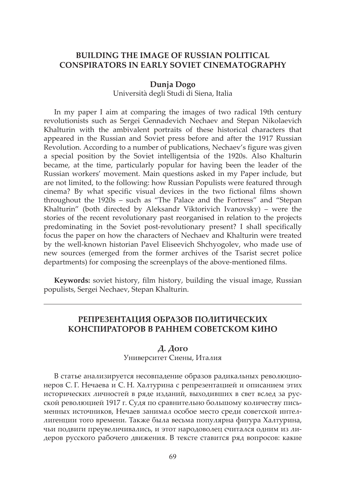# **BUILDING THE IMAGE OF RUSSIAN POLITICAL CONSPIRATORS IN EARLY SOVIET CINEMATOGRAPHY**

#### **Dunja Dogo**

Università degli Studi di Siena, Italia

In my paper I aim at comparing the images of two radical 19th century revolutionists such as Sergei Gennadevich Nechaev and Stepan Nikolaevich Khalturin with the ambivalent portraits of these historical characters that appeared in the Russian and Soviet press before and after the 1917 Russian Revolution. According to a number of publications, Nechaev's figure was given a special position by the Soviet intelligentsia of the 1920s. Also Khalturin became, at the time, particularly popular for having been the leader of the Russian workers' movement. Main questions asked in my Paper include, but are not limited, to the following: how Russian Populists were featured through cinema? By what specific visual devices in the two fictional films shown throughout the 1920s – such as "The Palace and the Fortress" and "Stepan Khalturin" (both directed by Aleksandr Viktorivich Ivanovsky) – were the stories of the recent revolutionary past reorganised in relation to the projects predominating in the Soviet post-revolutionary present? I shall specifically focus the paper on how the characters of Nechaev and Khalturin were treated by the well-known historian Pavel Eliseevich Shchyogolev, who made use of new sources (emerged from the former archives of the Tsarist secret police departments) for composing the screenplays of the above-mentioned films.

**Keywords:** soviet history, film history, building the visual image, Russian populists, Sergei Nechaev, Stepan Khalturin.

# **РЕПРЕЗЕНТАЦИЯ ОБРАЗОВ ПОЛИТИЧЕСКИХ КОНСПИРАТОРОВ В РАННЕМ СОВЕТСКОМ КИНО**

### **Д. Дого**

Университет Сиены, Италия

В статье анализируется несовпадение образов радикальных революционеров С. Г. Нечаева и С. Н. Халтурина с репрезентацией и описанием этих исторических личностей в ряде изданий, выходивших в свет вслед за русской революцией 1917 г. Судя по сравнительно большому количеству письменных источников, Нечаев занимал особое место среди советской интеллигенции того времени. Также была весьма популярна фигура Халтурина, чьи подвиги преувеличивались, и этот народоволец считался одним из лидеров русского рабочего движения. В тексте ставится ряд вопросов: какие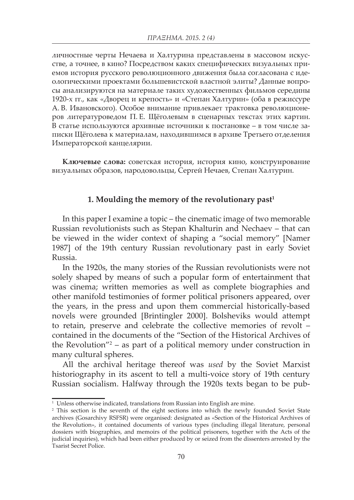личностные черты Нечаева и Халтурина представлены в массовом искусстве, а точнее, в кино? Посредством каких специфических визуальных приемов история русского революционного движения была согласована с идеологическими проектами большевистской властной элиты? Данные вопросы анализируются на материале таких художественных фильмов середины 1920-х гг., как «Дворец и крепость» и «Степан Халтурин» (оба в режиссуре А. В. Ивановского). Особое внимание привлекает трактовка революционеров литературоведом П. Е. Щёголевым в сценарных текстах этих картин. В статье используются архивные источники к постановке – в том числе записки Щёголева к материалам, находившимся в архиве Третьего отделения Императорской канцелярии.

**Ключевые слова:** советская история, история кино, конструирование визуальных образов, народовольцы, Сергей Нечаев, Степан Халтурин.

# 1. Moulding the memory of the revolutionary past<sup>1</sup>

In this paper I examine a topic – the cinematic image of two memorable Russian revolutionists such as Stepan Khalturin and Nechaev – that can be viewed in the wider context of shaping a "social memory" [Namer 1987] of the 19th century Russian revolutionary past in early Soviet Russia.

In the 1920s, the many stories of the Russian revolutionists were not solely shaped by means of such a popular form of entertainment that was cinema; written memories as well as complete biographies and other manifold testimonies of former political prisoners appeared, over the years, in the press and upon them commercial historically-based novels were grounded [Brintingler 2000]. Bolsheviks would attempt to retain, preserve and celebrate the collective memories of revolt – contained in the documents of the "Section of the Historical Archives of the Revolution"2 – as part of a political memory under construction in many cultural spheres.

All the archival heritage thereof was *used* by the Soviet Marxist historiography in its ascent to tell a multi-voice story of 19th century Russian socialism. Halfway through the 1920s texts began to be pub-

<sup>&</sup>lt;sup>1</sup> Unless otherwise indicated, translations from Russian into English are mine.

<sup>&</sup>lt;sup>2</sup> This section is the seventh of the eight sections into which the newly founded Soviet State archives (Gosarchivy RSFSR) were organised: designated as «Section of the Historical Archives of the Revolution», it contained documents of various types (including illegal literature, personal dossiers with biographies, and memoirs of the political prisoners, together with the Acts of the judicial inquiries), which had been either produced by or seized from the dissenters arrested by the Tsarist Secret Police.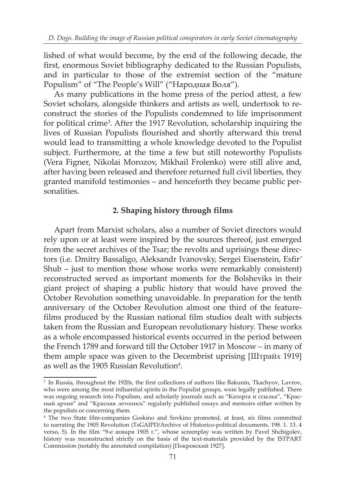lished of what would become, by the end of the following decade, the first, enormous Soviet bibliography dedicated to the Russian Populists, and in particular to those of the extremist section of the "mature Populism" of "The People's Will" ("Народная Воля").

As many publications in the home press of the period attest, a few Soviet scholars, alongside thinkers and artists as well, undertook to reconstruct the stories of the Populists condemned to life imprisonment for political crime<sup>3</sup>. After the 1917 Revolution, scholarship inquiring the lives of Russian Populists flourished and shortly afterward this trend would lead to transmitting a whole knowledge devoted to the Populist subject. Furthermore, at the time a few but still noteworthy Populists (Vera Figner, Nikolai Morozov, Mikhail Frolenko) were still alive and, after having been released and therefore returned full civil liberties, they granted manifold testimonies – and henceforth they became public personalities.

### **2. Shaping history through films**

Apart from Marxist scholars, also a number of Soviet directors would rely upon or at least were inspired by the sources thereof, just emerged from the secret archives of the Tsar; the revolts and uprisings these directors (i.e. Dmitry Bassaligo, Aleksandr Ivanovsky, Sergei Eisenstein, Esfir' Shub – just to mention those whose works were remarkably consistent) reconstructed served as important moments for the Bolsheviks in their giant project of shaping a public history that would have proved the October Revolution something unavoidable. In preparation for the tenth anniversary of the October Revolution almost one third of the featurefilms produced by the Russian national film studios dealt with subjects taken from the Russian and European revolutionary history. These works as a whole encompassed historical events occurred in the period between the French 1789 and forward till the October 1917 in Moscow – in many of them ample space was given to the Decembrist uprising [Штрайх 1919] as well as the 1905 Russian Revolution $4$ .

<sup>&</sup>lt;sup>3</sup> In Russia, throughout the 1920s, the first collections of authors like Bakunin, Tkachyov, Lavrov, who were among the most influential spirits in the Populist groups, were legally published. There was ongoing research into Populism, and scholarly journals such as "Каторга и ссылка", "Красный архив" and "Красная летопись" regularly published essays and memoirs either written by the populists or concerning them.

<sup>4</sup> The two State film-companies Goskino and Sovkino promoted, at least, six films committed to narrating the 1905 Revolution (TsGAIPD/Archive of Historico-political documents. 198. 1. 13. 4 verso, 5). In the film "9-е января 1905 г.", whose screenplay was written by Pavel Shchigolev, history was reconstructed strictly on the basis of the text-materials provided by the ISTPART Commission (notably the annotated compilation) [Покровский 1927].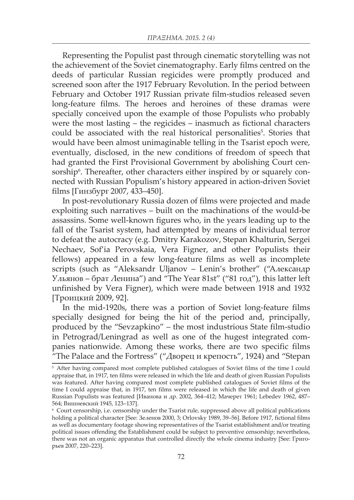Representing the Populist past through cinematic storytelling was not the achievement of the Soviet cinematography. Early films centred on the deeds of particular Russian regicides were promptly produced and screened soon after the 1917 February Revolution. In the period between February and October 1917 Russian private film-studios released seven long-feature films. The heroes and heroines of these dramas were specially conceived upon the example of those Populists who probably were the most lasting – the regicides – inasmuch as fictional characters could be associated with the real historical personalities<sup>5</sup>. Stories that would have been almost unimaginable telling in the Tsarist epoch were, eventually, disclosed, in the new conditions of freedom of speech that had granted the First Provisional Government by abolishing Court censorship<sup>6</sup>. Thereafter, other characters either inspired by or squarely connected with Russian Populism's history appeared in action-driven Soviet films [Гинзбург 2007, 433–450].

In post-revolutionary Russia dozen of films were projected and made exploiting such narratives – built on the machinations of the would-be assassins. Some well-known figures who, in the years leading up to the fall of the Tsarist system, had attempted by means of individual terror to defeat the autocracy (e.g. Dmitry Karakozov, Stepan Khalturin, Sergei Nechaev, Sof'ia Perovskaia, Vera Figner, and other Populists their fellows) appeared in a few long-feature films as well as incomplete scripts (such as "Aleksandr Uljanov – Lenin's brother" ("Александр Ульянов – брат Ленина") and "The Year 81st" ("81 год"), this latter left unfinished by Vera Figner), which were made between 1918 and 1932 [Троицкий 2009, 92].

In the mid-1920s, there was a portion of Soviet long-feature films specially designed for being the hit of the period and, principally, produced by the "Sevzapkino" – the most industrious State film-studio in Petrograd/Leningrad as well as one of the hugest integrated companies nationwide. Among these works, there are two specific films "The Palace and the Fortress" ("Дворец и крепость", 1924) and "Stepan

<sup>&</sup>lt;sup>5</sup> After having compared most complete published catalogues of Soviet films of the time I could appraise that, in 1917, ten films were released in which the life and death of given Russian Populists was featured. After having compared most complete published catalogues of Soviet films of the time I could appraise that, in 1917, ten films were released in which the life and death of given Russian Populists was featured [Иванова и др. 2002, 364–412; Мачерет 1961; Lebedev 1962, 487– 564; Вишневский 1945, 123–137].

<sup>6</sup> Court censorship, i.e. censorship under the Tsarist rule, suppressed above all political publications holding a political character [See: Зеленов 2000, 3; Orlovsky 1989, 39–56]. Before 1917, fictional films as well as documentary footage showing representatives of the Tsarist establishment and/or treating political issues offending the Establishment could be subject to preventive censorship; nevertheless, there was not an organic apparatus that controlled directly the whole cinema industry [See: Григорьев 2007, 220–223].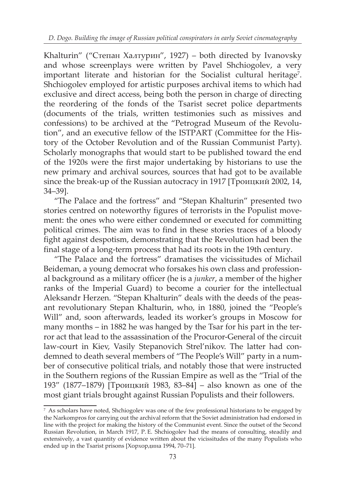Khalturin" ("Степан Халтурин", 1927) – both directed by Ivanovsky and whose screenplays were written by Pavel Shchiogolev, a very important literate and historian for the Socialist cultural heritage<sup>7</sup>. Shchiogolev employed for artistic purposes archival items to which had exclusive and direct access, being both the person in charge of directing the reordering of the fonds of the Tsarist secret police departments (documents of the trials, written testimonies such as missives and confessions) to be archived at the "Petrograd Museum of the Revolution", and an executive fellow of the ISTPART (Committee for the History of the October Revolution and of the Russian Communist Party). Scholarly monographs that would start to be published toward the end of the 1920s were the first major undertaking by historians to use the new primary and archival sources, sources that had got to be available since the break-up of the Russian autocracy in 1917 [Троицкий 2002, 14, 34–39].

"The Palace and the fortress" and "Stepan Khalturin" presented two stories centred on noteworthy figures of terrorists in the Populist movement: the ones who were either condemned or executed for committing political crimes. The aim was to find in these stories traces of a bloody fight against despotism, demonstrating that the Revolution had been the final stage of a long-term process that had its roots in the 19th century.

"The Palace and the fortress" dramatises the vicissitudes of Michail Beideman, a young democrat who forsakes his own class and professional background as a military officer (he is a *junker*, a member of the higher ranks of the Imperial Guard) to become a courier for the intellectual Aleksandr Herzen. "Stepan Khalturin" deals with the deeds of the peasant revolutionary Stepan Khalturin, who, in 1880, joined the "People's Will" and, soon afterwards, leaded its worker's groups in Moscow for many months – in 1882 he was hanged by the Tsar for his part in the terror act that lead to the assassination of the Procuror-General of the circuit law-court in Kiev, Vasily Stepanovich Strel'nikov. The latter had condemned to death several members of "The People's Will" party in a number of consecutive political trials, and notably those that were instructed in the Southern regions of the Russian Empire as well as the "Trial of the 193" (1877–1879) [Троицкий 1983, 83–84] – also known as one of the most giant trials brought against Russian Populists and their followers.

<sup>7</sup> As scholars have noted, Shchiogolev was one of the few professional historians to be engaged by the Narkompros for carrying out the archival reform that the Soviet administration had endorsed in line with the project for making the history of the Communist event. Since the outset of the Second Russian Revolution, in March 1917, P. E. Shchiogolev had the means of consulting, steadily and extensively, a vast quantity of evidence written about the vicissitudes of the many Populists who ended up in the Tsarist prisons [Хорхордина 1994, 70–71].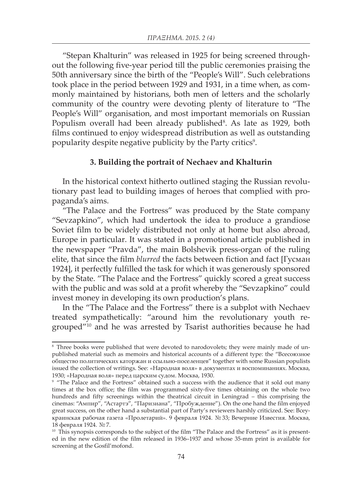"Stepan Khalturin" was released in 1925 for being screened throughout the following five-year period till the public ceremonies praising the 50th anniversary since the birth of the "People's Will". Such celebrations took place in the period between 1929 and 1931, in a time when, as commonly maintained by historians, both men of letters and the scholarly community of the country were devoting plenty of literature to "The People's Will" organisation, and most important memorials on Russian Populism overall had been already published<sup>8</sup>. As late as 1929, both films continued to enjoy widespread distribution as well as outstanding popularity despite negative publicity by the Party critics<sup>9</sup>.

#### **3. Building the portrait of Nechaev and Khalturin**

In the historical context hitherto outlined staging the Russian revolutionary past lead to building images of heroes that complied with propaganda's aims.

"The Palace and the Fortress" was produced by the State company "Sevzapkino", which had undertook the idea to produce a grandiose Soviet film to be widely distributed not only at home but also abroad, Europe in particular. It was stated in a promotional article published in the newspaper "Pravda", the main Bolshevik press-organ of the ruling elite, that since the film *blurred* the facts between fiction and fact [Гусман 1924], it perfectly fulfilled the task for which it was generously sponsored by the State. "The Palace and the Fortress" quickly scored a great success with the public and was sold at a profit whereby the "Sevzapkino" could invest money in developing its own production's plans.

In the "The Palace and the Fortress" there is a subplot with Nechaev treated sympathetically: "around him the revolutionary youth regrouped"10 and he was arrested by Tsarist authorities because he had

<sup>&</sup>lt;sup>8</sup> Three books were published that were devoted to narodovolets; they were mainly made of unpublished material such as memoirs and historical accounts of a different type: the "Всесоюзное общество политических каторжан и ссыльно-поселенцев" together with some Russian populists issued the collection of writings. See: «Народная воля» в документах и воспоминаниях. Москва, 1930; «Народная воля» перед царским судом. Москва, 1930.

<sup>&</sup>lt;sup>9</sup> "The Palace and the Fortress" obtained such a success with the audience that it sold out many times at the box office; the film was programmed sixty-five times obtaining on the whole two hundreds and fifty screenings within the theatrical circuit in Leningrad – this comprising the cinemas: "Ампир", "Астартэ", "Паризиана", "Пробуждение"). On the one hand the film enjoyed great success, on the other hand a substantial part of Party's reviewers harshly criticized. See: Всеукраинская рабочая газета «Пролетарий». 9 февраля 1924. № 33; Вечерние Известия. Москва, 18 февраля 1924. № 7.

<sup>&</sup>lt;sup>10</sup> This synopsis corresponds to the subject of the film "The Palace and the Fortress" as it is presented in the new edition of the film released in 1936–1937 and whose 35-mm print is available for screening at the Gosfil'mofond.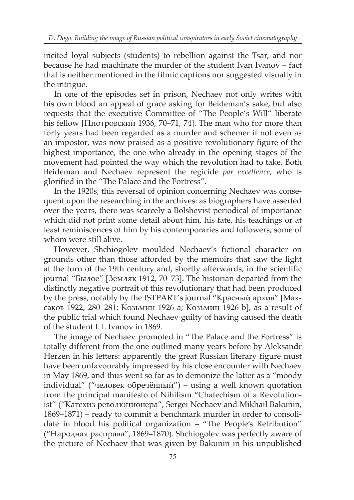incited loyal subjects (students) to rebellion against the Tsar, and nor because he had machinate the murder of the student Ivan Ivanov – fact that is neither mentioned in the filmic captions nor suggested visually in the intrigue.

In one of the episodes set in prison, Nechaev not only writes with his own blood an appeal of grace asking for Beideman's sake, but also requests that the executive Committee of "The People's Will" liberate his fellow [Пиотровский 1936, 70–71, 74]. The man who for more than forty years had been regarded as a murder and schemer if not even as an impostor, was now praised as a positive revolutionary figure of the highest importance, the one who already in the opening stages of the movement had pointed the way which the revolution had to take. Both Beideman and Nechaev represent the regicide *par excellence*, who is glorified in the "The Palace and the Fortress".

In the 1920s, this reversal of opinion concerning Nechaev was consequent upon the researching in the archives: as biographers have asserted over the years, there was scarcely a Bolshevist periodical of importance which did not print some detail about him, his fate, his teachings or at least reminiscences of him by his contemporaries and followers, some of whom were still alive.

However, Shchiogolev moulded Nechaev's fictional character on grounds other than those afforded by the memoirs that saw the light at the turn of the 19th century and, shortly afterwards, in the scientific journal "Былое" [Земляк 1912, 70–73]. The historian departed from the distinctly negative portrait of this revolutionary that had been produced by the press, notably by the ISTPART's journal "Красный архив" [Максаков 1922, 280–281; Козьмин 1926 a; Козьмин 1926 b], as a result of the public trial which found Nechaev guilty of having caused the death of the student I. I. Ivanov in 1869.

The image of Nechaev promoted in "The Palace and the Fortress" is totally different from the one outlined many years before by Aleksandr Herzen in his letters: apparently the great Russian literary figure must have been unfavourably impressed by his close encounter with Nechaev in May 1869, and thus went so far as to demonize the latter as a "moody individual" ("человек обречённый") – using a well known quotation from the principal manifesto of Nihilism "Chatechism of a Revolutionist" ("Катехиз революционера", Sergei Nechaev and Mikhail Bakunin, 1869–1871) – ready to commit a benchmark murder in order to consolidate in blood his political organization – "The People's Retribution" ("Народная расправа", 1869–1870). Shchiogolev was perfectly aware of the picture of Nechaev that was given by Bakunin in his unpublished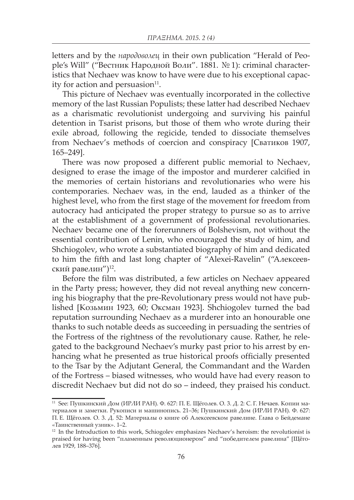letters and by the *народоволец* in their own publication "Herald of People's Will" ("Вестник Народной Воли". 1881. № 1): criminal characteristics that Nechaev was know to have were due to his exceptional capacity for action and persuasion $11$ .

This picture of Nechaev was eventually incorporated in the collective memory of the last Russian Populists; these latter had described Nechaev as a charismatic revolutionist undergoing and surviving his painful detention in Tsarist prisons, but those of them who wrote during their exile abroad, following the regicide, tended to dissociate themselves from Nechaev's methods of coercion and conspiracy [Сватиков 1907, 165–249].

There was now proposed a different public memorial to Nechaev, designed to erase the image of the impostor and murderer calcified in the memories of certain historians and revolutionaries who were his contemporaries. Nechaev was, in the end, lauded as a thinker of the highest level, who from the first stage of the movement for freedom from autocracy had anticipated the proper strategy to pursue so as to arrive at the establishment of a government of professional revolutionaries. Nechaev became one of the forerunners of Bolshevism, not without the essential contribution of Lenin, who encouraged the study of him, and Shchiogolev, who wrote a substantiated biography of him and dedicated to him the fifth and last long chapter of "Alexei-Ravelin" ("Алексеевский равелин")12.

Before the film was distributed, a few articles on Nechaev appeared in the Party press; however, they did not reveal anything new concerning his biography that the pre-Revolutionary press would not have published [Козьмин 1923, 60; Оксман 1923]. Shchiogolev turned the bad reputation surrounding Nechaev as a murderer into an honourable one thanks to such notable deeds as succeeding in persuading the sentries of the Fortress of the rightness of the revolutionary cause. Rather, he relegated to the background Nechaev's murky past prior to his arrest by enhancing what he presented as true historical proofs officially presented to the Tsar by the Adjutant General, the Commandant and the Warden of the Fortress – biased witnesses, who would have had every reason to discredit Nechaev but did not do so – indeed, they praised his conduct.

<sup>11</sup> See: Пушкинский Дом (ИРЛИ РАН). Ф. 627: П. Е. Щёголев. О. 3. Д. 2: С. Г. Нечаев. Копии материалов и заметки. Рукописи и машинопись. 21–36; Пушкинский Дом (ИРЛИ РАН). Ф. 627: П. Е. Щёголев. О. 3. Д. 52: Материалы о книге об Алексеевском равелине. Глава о Бейдемане «Таинственный узник». 1–2.

<sup>&</sup>lt;sup>12</sup> In the Introduction to this work, Schiogolev emphasizes Nechaev's heroism: the revolutionist is praised for having been "пламенным революционером" and "победителем равелина" [Щёголев 1929, 188–376].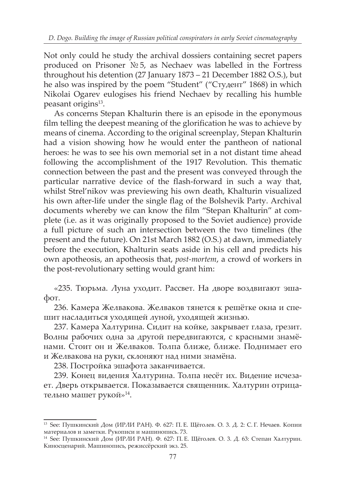Not only could he study the archival dossiers containing secret papers produced on Prisoner № 5, as Nechaev was labelled in the Fortress throughout his detention (27 January 1873 – 21 December 1882 O.S.), but he also was inspired by the poem "Student" ("Студент" 1868) in which Nikolai Ogarev eulogises his friend Nechaev by recalling his humble peasant origins<sup>13</sup>.

As concerns Stepan Khalturin there is an episode in the eponymous film telling the deepest meaning of the glorification he was to achieve by means of cinema. According to the original screenplay, Stepan Khalturin had a vision showing how he would enter the pantheon of national heroes: he was to see his own memorial set in a not distant time ahead following the accomplishment of the 1917 Revolution. This thematic connection between the past and the present was conveyed through the particular narrative device of the flash-forward in such a way that, whilst Strel'nikov was previewing his own death, Khalturin visualized his own after-life under the single flag of the Bolshevik Party. Archival documents whereby we can know the film "Stepan Khalturin" at complete (i.e. as it was originally proposed to the Soviet audience) provide a full picture of such an intersection between the two timelines (the present and the future). On 21st March 1882 (O.S.) at dawn, immediately before the execution, Khalturin seats aside in his cell and predicts his own apotheosis, an apotheosis that, *post-mortem*, a crowd of workers in the post-revolutionary setting would grant him:

«235. Тюрьма. Луна уходит. Рассвет. На дворе воздвигают эшафот.

236. Камера Желвакова. Желваков тянется к решётке окна и спешит насладиться уходящей луной, уходящей жизнью.

237. Камера Халтурина. Сидит на койке, закрывает глаза, грезит. Волны рабочих одна за другой передвигаются, с красными знамёнами. Стоит он и Желваков. Толпа ближе, ближе. Поднимает его и Желвакова на руки, склоняют над ними знамёна.

238. Постройка эшафота заканчивается.

239. Конец видения Халтурина. Толпа несёт их. Видение исчезает. Дверь открывается. Показывается священник. Халтурин отрицательно машет рукой»14.

<sup>13</sup> See: Пушкинский Дом (ИРЛИ РАН). Ф. 627: П. Е. Щёголев. О. 3. Д. 2: С. Г. Нечаев. Копии материалов и заметки. Рукописи и машинопись. 73.

<sup>14</sup> See: Пушкинский Дом (ИРЛИ РАН). Ф. 627: П. Е. Щёголев. О. 3. Д. 63: Степан Халтурин. Киносценарий. Машинопись, режиссёрский экз. 25.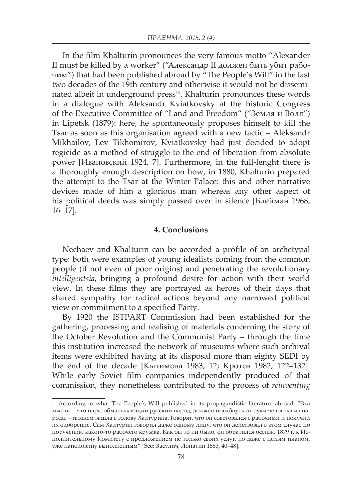In the film Khalturin pronounces the very famous motto "Alexander II must be killed by a worker" ("Александр II должен быть убит рабочим") that had been published abroad by "The People's Will" in the last two decades of the 19th century and otherwise it would not be disseminated albeit in underground press<sup>15</sup>. Khalturin pronounces these words in a dialogue with Aleksandr Kviatkovsky at the historic Congress of the Executive Committee of "Land and Freedom" ("Земля и Воля") in Lipetsk (1879): here, he spontaneously proposes himself to kill the Tsar as soon as this organisation agreed with a new tactic – Aleksandr Mikhailov, Lev Tikhomirov, Kviatkovsky had just decided to adopt regicide as a method of struggle to the end of liberation from absolute power [Ивановский 1924, 7]. Furthermore, in the full-lenght there is a thoroughly enough description on how, in 1880, Khalturin prepared the attempt to the Tsar at the Winter Palace: this and other narrative devices made of him a glorious man whereas any other aspect of his political deeds was simply passed over in silence [Блейман 1968, 16–17].

## **4. Conclusions**

Nechaev and Khalturin can be accorded a profile of an archetypal type: both were examples of young idealists coming from the common people (if not even of poor origins) and penetrating the revolutionary *intelligentsia*, bringing a profound desire for action with their world view. In these films they are portrayed as heroes of their days that shared sympathy for radical actions beyond any narrowed political view or commitment to a specified Party.

By 1920 the ISTPART Commission had been established for the gathering, processing and realising of materials concerning the story of the October Revolution and the Communist Party – through the time this institution increased the network of museums where such archival items were exhibited having at its disposal more than eighty SEDI by the end of the decade [Кытимова 1983, 12; Кротов 1982, 122–132]. While early Soviet film companies independently produced of that commission, they nonetheless contributed to the process of *reinventing*

<sup>15</sup> According to what The People's Will published in its propagandistic literature abroad: "Эта мысль, – что царь, обманывающий русский народ, должен погибнуть от руки человека из народа, – гвоздём зашла в голову Халтурина. Говорят, что он советoвался с рабочими и получил их одобрение. Сам Халтурин говорил даже одному лицу, что он действовал в этом случае по поручению какого-то рабочего кружка. Как бы то ни было, он обратился осенью 1879 г. к Исполнительному Комитету с предложением не только своих услуг, но даже с целым планом, уже наполовину выполненным" [See: Засулич, Лопатин 1883, 40–48].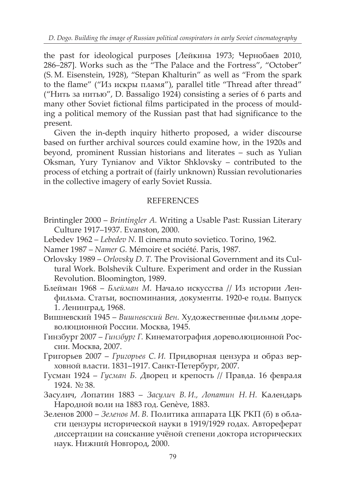the past for ideological purposes [Лейкина 1973; Чернобаев 2010, 286–287]. Works such as the "The Palace and the Fortress", "October" (S. M. Eisenstein, 1928), "Stepan Khalturin" as well as "From the spark to the flame" ("Из искры пламя"), parallel title "Thread after thread" ("Нить за нитью", D. Bassaligo 1924) consisting a series of 6 parts and many other Soviet fictional films participated in the process of moulding a political memory of the Russian past that had significance to the present.

Given the in-depth inquiry hitherto proposed, a wider discourse based on further archival sources could examine how, in the 1920s and beyond, prominent Russian historians and literates – such as Yulian Oksman, Yury Tynianov and Viktor Shklovsky – contributed to the process of etching a portrait of (fairly unknown) Russian revolutionaries in the collective imagery of early Soviet Russia.

# REFERENCES

- Brintingler 2000 *Brintingler A.* Writing a Usable Past: Russian Literary Culture 1917–1937. Evanston, 2000.
- Lebedev 1962 *Lebedev N.* Il cinema muto sovietico. Torino, 1962.
- Namer 1987 *Namer G.* Mémoire et société. Paris, 1987.
- Orlovsky 1989 *Orlovsky D. T.* The Provisional Government and its Cultural Work. Bolshevik Culture. Experiment and order in the Russian Revolution. Bloomington, 1989.
- Блейман 1968 *Блейман М.* Начало искусства // Из истории Ленфильма. Статьи, воспоминания, документы. 1920-е годы. Выпуск 1. Ленинград, 1968.
- Вишневский 1945 *Вишневский Вен.* Художественные фильмы дореволюционной России. Москва, 1945.
- Гинзбург 2007 *Гинзбург Г.* Кинематография дореволюционной России. Москва, 2007.
- Григорьев 2007 *Григорьев C. И.* Придворная цензура и образ верховной власти. 1831–1917. Санкт-Петербург, 2007.
- Гусман 1924 *Гусман Б.* Дворец и крепость // Правда. 16 февраля 1924. № 38.
- Засулич, Лопатин 1883 *Засулич В. И., Лопатин Н. Н.* Kалендарь Народной воли на 1883 год. Genève, 1883.
- Зеленов 2000 *Зеленов М. В.* Политика аппарата ЦК РКП (б) в области цензуры исторической науки в 1919/1929 годах. Автореферат диссертации на соискание учёной степени доктора исторических наук. Нижний Новгород, 2000.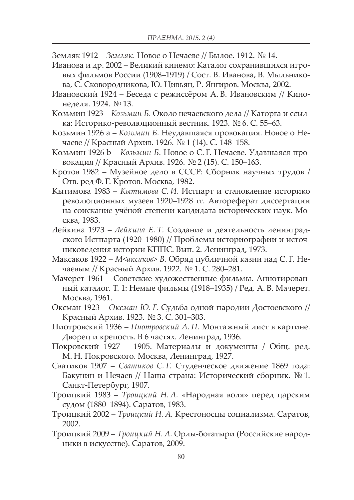- Земляк 1912 *Земляк.* Новое о Нечаеве // Былое. 1912. № 14.
- Иванова и др. 2002 Великий кинемо: Каталог сохранившихся игровых фильмов России (1908–1919) / Сост. В. Иванова, В. Мыльникова, С. Сковородникова, Ю. Цивьян, Р. Янгиров. Москва, 2002.
- Ивановский 1924 Беседа с режиссёром А. В. Ивановским // Кинонеделя. 1924. № 13.
- Козьмин 1923 *Козьмин Б.* Около нечаевского дела // Каторга и ссылка: Историко-революционный вестник. 1923. № 6. С. 55–63.
- Козьмин 1926 a *Козьмин Б.* Неудавшаяся провокация. Новое о Нечаеве // Красный Архив. 1926. № 1 (14). С. 148–158.
- Козьмин 1926 b *Козьмин Б.* Новое о С. Г. Нечаеве. Удавшаяся провокация // Красный Архив. 1926. № 2 (15). С. 150–163.
- Кротов 1982 Музейное дело в СССР: Сборник научных трудов / Отв. ред Ф. Г. Кротов. Москва, 1982.
- Кытимова 1983 *Кытимова C. И.* Истпарт и становление историко революционных музеев 1920–1928 гг. Автореферат диссертации на соискание учёной степени кандидата исторических наук. Москва, 1983.
- Лейкина 1973 *Лейкина Е. Т.* Создание и деятельность ленинградского Истпарта (1920–1980) // Проблемы историографии и источниковедения истории КППС. Вып. 2. Ленинград, 1973.
- Максаков 1922 *М<аксаков> В.* Обряд публичной казни над С. Г. Нечаевым // Красный Архив. 1922. № 1. С. 280–281.
- Мачерет 1961 Советские художественные фильмы. Аннотированный каталог. Т. 1: Немые фильмы (1918–1935) / Ред. А. В. Мачерет. Москва, 1961.
- Оксман 1923 *Оксман Ю. Г.* Судьба одной пародии Достоевского // Красный Архив. 1923. № 3. С. 301–303.
- Пиотровский 1936 *Пиотровский A. П.* Монтажный лист в картине. Дворец и крепость. В 6 частях. Ленинград, 1936.
- Покровский 1927 1905. Материалы и документы / Общ. ред. М. Н. Покровского. Москва, Ленинград, 1927.
- Сватиков 1907 *Сватиков C. Г.* Студенческое движение 1869 года: Бакунин и Нечаев // Наша страна: Исторический сборник. № 1. Санкт-Петербург, 1907.
- Троицкий 1983 *Троицкий Н. А.* «Народная воля» перед царским судом (1880–1894). Саратов, 1983.
- Троицкий 2002 *Троицкий Н. А.* Крестоносцы социализма. Саратов, 2002.
- Троицкий 2009 *Троицкий Н. А.* Орлы-богатыри (Российские народники в искусстве). Саратов, 2009.